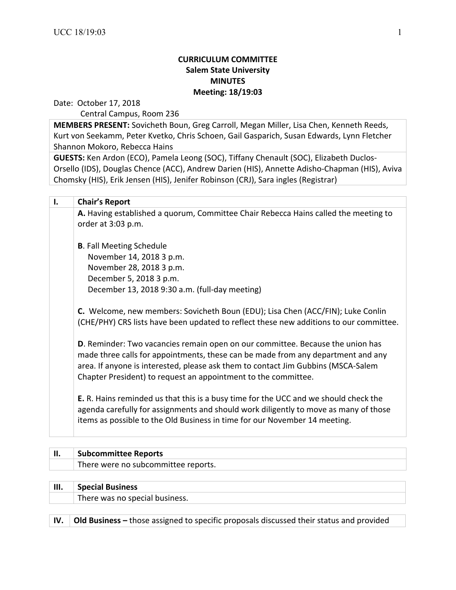### **CURRICULUM COMMITTEE Salem State University MINUTES Meeting: 18/19:03**

Date: October 17, 2018

Central Campus, Room 236

**MEMBERS PRESENT:** Sovicheth Boun, Greg Carroll, Megan Miller, Lisa Chen, Kenneth Reeds, Kurt von Seekamm, Peter Kvetko, Chris Schoen, Gail Gasparich, Susan Edwards, Lynn Fletcher Shannon Mokoro, Rebecca Hains

**GUESTS:** Ken Ardon (ECO), Pamela Leong (SOC), Tiffany Chenault (SOC), Elizabeth Duclos-Orsello (IDS), Douglas Chence (ACC), Andrew Darien (HIS), Annette Adisho-Chapman (HIS), Aviva Chomsky (HIS), Erik Jensen (HIS), Jenifer Robinson (CRJ), Sara ingles (Registrar)

| I. | <b>Chair's Report</b>                                                                                                                                                                                                                                                                                                            |
|----|----------------------------------------------------------------------------------------------------------------------------------------------------------------------------------------------------------------------------------------------------------------------------------------------------------------------------------|
|    | A. Having established a quorum, Committee Chair Rebecca Hains called the meeting to                                                                                                                                                                                                                                              |
|    | order at 3:03 p.m.                                                                                                                                                                                                                                                                                                               |
|    | <b>B.</b> Fall Meeting Schedule                                                                                                                                                                                                                                                                                                  |
|    | November 14, 2018 3 p.m.                                                                                                                                                                                                                                                                                                         |
|    | November 28, 2018 3 p.m.                                                                                                                                                                                                                                                                                                         |
|    | December 5, 2018 3 p.m.                                                                                                                                                                                                                                                                                                          |
|    | December 13, 2018 9:30 a.m. (full-day meeting)                                                                                                                                                                                                                                                                                   |
|    |                                                                                                                                                                                                                                                                                                                                  |
|    | C. Welcome, new members: Sovicheth Boun (EDU); Lisa Chen (ACC/FIN); Luke Conlin                                                                                                                                                                                                                                                  |
|    | (CHE/PHY) CRS lists have been updated to reflect these new additions to our committee.                                                                                                                                                                                                                                           |
|    | <b>D.</b> Reminder: Two vacancies remain open on our committee. Because the union has<br>made three calls for appointments, these can be made from any department and any<br>area. If anyone is interested, please ask them to contact Jim Gubbins (MSCA-Salem<br>Chapter President) to request an appointment to the committee. |
|    | <b>E.</b> R. Hains reminded us that this is a busy time for the UCC and we should check the<br>agenda carefully for assignments and should work diligently to move as many of those<br>items as possible to the Old Business in time for our November 14 meeting.                                                                |
|    |                                                                                                                                                                                                                                                                                                                                  |

| <b>Subcommittee Reports</b>         |
|-------------------------------------|
| There were no subcommittee reports. |
|                                     |

| III. | <b>Special Business</b>        |
|------|--------------------------------|
|      | There was no special business. |
|      |                                |

**IV. Old Business** – those assigned to specific proposals discussed their status and provided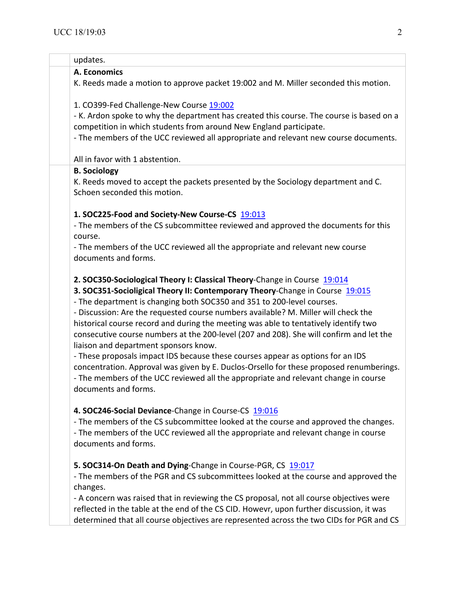| updates.                                                                                                                                                                                                                                                                                                                                                                                                                                                                                                                                                                                                                                                                                                                                                                                                                                            |
|-----------------------------------------------------------------------------------------------------------------------------------------------------------------------------------------------------------------------------------------------------------------------------------------------------------------------------------------------------------------------------------------------------------------------------------------------------------------------------------------------------------------------------------------------------------------------------------------------------------------------------------------------------------------------------------------------------------------------------------------------------------------------------------------------------------------------------------------------------|
| A. Economics                                                                                                                                                                                                                                                                                                                                                                                                                                                                                                                                                                                                                                                                                                                                                                                                                                        |
| K. Reeds made a motion to approve packet 19:002 and M. Miller seconded this motion.                                                                                                                                                                                                                                                                                                                                                                                                                                                                                                                                                                                                                                                                                                                                                                 |
| 1. CO399-Fed Challenge-New Course 19:002                                                                                                                                                                                                                                                                                                                                                                                                                                                                                                                                                                                                                                                                                                                                                                                                            |
| - K. Ardon spoke to why the department has created this course. The course is based on a                                                                                                                                                                                                                                                                                                                                                                                                                                                                                                                                                                                                                                                                                                                                                            |
| competition in which students from around New England participate.                                                                                                                                                                                                                                                                                                                                                                                                                                                                                                                                                                                                                                                                                                                                                                                  |
| - The members of the UCC reviewed all appropriate and relevant new course documents.                                                                                                                                                                                                                                                                                                                                                                                                                                                                                                                                                                                                                                                                                                                                                                |
| All in favor with 1 abstention.                                                                                                                                                                                                                                                                                                                                                                                                                                                                                                                                                                                                                                                                                                                                                                                                                     |
| <b>B. Sociology</b>                                                                                                                                                                                                                                                                                                                                                                                                                                                                                                                                                                                                                                                                                                                                                                                                                                 |
| K. Reeds moved to accept the packets presented by the Sociology department and C.<br>Schoen seconded this motion.                                                                                                                                                                                                                                                                                                                                                                                                                                                                                                                                                                                                                                                                                                                                   |
| 1. SOC225-Food and Society-New Course-CS 19:013                                                                                                                                                                                                                                                                                                                                                                                                                                                                                                                                                                                                                                                                                                                                                                                                     |
| - The members of the CS subcommittee reviewed and approved the documents for this<br>course.                                                                                                                                                                                                                                                                                                                                                                                                                                                                                                                                                                                                                                                                                                                                                        |
| - The members of the UCC reviewed all the appropriate and relevant new course                                                                                                                                                                                                                                                                                                                                                                                                                                                                                                                                                                                                                                                                                                                                                                       |
| documents and forms.                                                                                                                                                                                                                                                                                                                                                                                                                                                                                                                                                                                                                                                                                                                                                                                                                                |
| 2. SOC350-Sociological Theory I: Classical Theory-Change in Course 19:014<br>3. SOC351-Socioligical Theory II: Contemporary Theory-Change in Course 19:015<br>- The department is changing both SOC350 and 351 to 200-level courses.<br>- Discussion: Are the requested course numbers available? M. Miller will check the<br>historical course record and during the meeting was able to tentatively identify two<br>consecutive course numbers at the 200-level (207 and 208). She will confirm and let the<br>liaison and department sponsors know.<br>- These proposals impact IDS because these courses appear as options for an IDS<br>concentration. Approval was given by E. Duclos-Orsello for these proposed renumberings.<br>- The members of the UCC reviewed all the appropriate and relevant change in course<br>documents and forms. |
| 4. SOC246-Social Deviance-Change in Course-CS 19:016<br>- The members of the CS subcommittee looked at the course and approved the changes.<br>- The members of the UCC reviewed all the appropriate and relevant change in course<br>documents and forms.                                                                                                                                                                                                                                                                                                                                                                                                                                                                                                                                                                                          |
| 5. SOC314-On Death and Dying-Change in Course-PGR, CS 19:017                                                                                                                                                                                                                                                                                                                                                                                                                                                                                                                                                                                                                                                                                                                                                                                        |
| - The members of the PGR and CS subcommittees looked at the course and approved the                                                                                                                                                                                                                                                                                                                                                                                                                                                                                                                                                                                                                                                                                                                                                                 |
| changes.                                                                                                                                                                                                                                                                                                                                                                                                                                                                                                                                                                                                                                                                                                                                                                                                                                            |
| - A concern was raised that in reviewing the CS proposal, not all course objectives were                                                                                                                                                                                                                                                                                                                                                                                                                                                                                                                                                                                                                                                                                                                                                            |
| reflected in the table at the end of the CS CID. Howevr, upon further discussion, it was                                                                                                                                                                                                                                                                                                                                                                                                                                                                                                                                                                                                                                                                                                                                                            |
| determined that all course objectives are represented across the two CIDs for PGR and CS                                                                                                                                                                                                                                                                                                                                                                                                                                                                                                                                                                                                                                                                                                                                                            |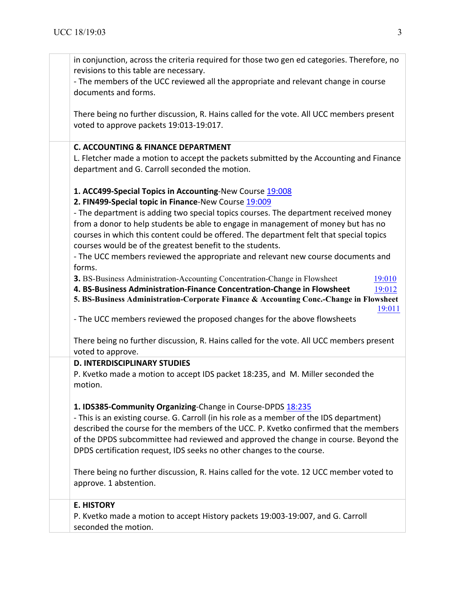in conjunction, across the criteria required for those two gen ed categories. Therefore, no revisions to this table are necessary. - The members of the UCC reviewed all the appropriate and relevant change in course documents and forms. There being no further discussion, R. Hains called for the vote. All UCC members present voted to approve packets 19:013-19:017. **C. ACCOUNTING & FINANCE DEPARTMENT** L. Fletcher made a motion to accept the packets submitted by the Accounting and Finance department and G. Carroll seconded the motion. **1. ACC499-Special Topics in Accounting-New Course 19:008 2. FIN499-Special topic in Finance-New Course 19:009** - The department is adding two special topics courses. The department received money from a donor to help students be able to engage in management of money but has no courses in which this content could be offered. The department felt that special topics courses would be of the greatest benefit to the students. - The UCC members reviewed the appropriate and relevant new course documents and forms. **3.** BS-Business Administration-Accounting Concentration-Change in Flowsheet 19:010 **4. BS-Business Administration-Finance Concentration-Change in Flowsheet**  $\frac{19:012}{9:012}$ **5. BS-Business Administration-Corporate Finance & Accounting Conc.-Change in Flowsheet** 19:011 - The UCC members reviewed the proposed changes for the above flowsheets There being no further discussion, R. Hains called for the vote. All UCC members present voted to approve. **D. INTERDISCIPLINARY STUDIES** P. Kvetko made a motion to accept IDS packet 18:235, and M. Miller seconded the motion. **1. IDS385-Community Organizing-Change in Course-DPDS 18:235** - This is an existing course. G. Carroll (in his role as a member of the IDS department) described the course for the members of the UCC. P. Kvetko confirmed that the members of the DPDS subcommittee had reviewed and approved the change in course. Beyond the DPDS certification request, IDS seeks no other changes to the course. There being no further discussion, R. Hains called for the vote. 12 UCC member voted to approve. 1 abstention. **E. HISTORY** P. Kvetko made a motion to accept History packets 19:003-19:007, and G. Carroll seconded the motion.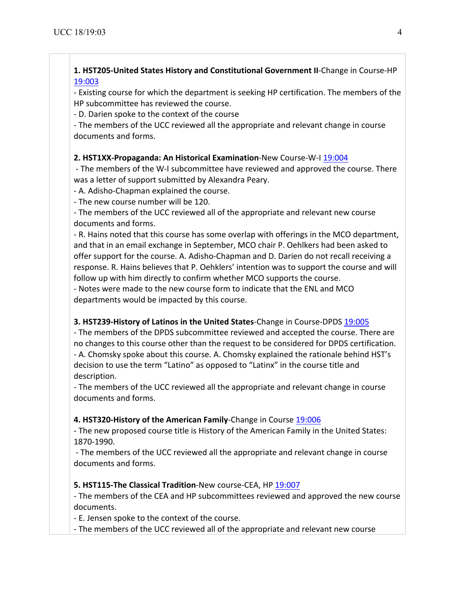### **1. HST205-United States History and Constitutional Government II-Change in Course-HP** 19:003 19:003

- Existing course for which the department is seeking HP certification. The members of the HP subcommittee has reviewed the course.

- D. Darien spoke to the context of the course

- The members of the UCC reviewed all the appropriate and relevant change in course documents and forms.

# **2. HST1XX-Propaganda: An Historical Examination-New Course-W-I 19:004**

- The members of the W-I subcommittee have reviewed and approved the course. There was a letter of support submitted by Alexandra Peary.

- A. Adisho-Chapman explained the course.

- The new course number will be 120.

- The members of the UCC reviewed all of the appropriate and relevant new course documents and forms.

- R. Hains noted that this course has some overlap with offerings in the MCO department, and that in an email exchange in September, MCO chair P. Oehlkers had been asked to offer support for the course. A. Adisho-Chapman and D. Darien do not recall receiving a response. R. Hains believes that P. Oehklers' intention was to support the course and will follow up with him directly to confirm whether MCO supports the course.

- Notes were made to the new course form to indicate that the ENL and MCO departments would be impacted by this course.

### **3. HST239-History of Latinos in the United States-Change in Course-DPDS 19:005**

- The members of the DPDS subcommittee reviewed and accepted the course. There are no changes to this course other than the request to be considered for DPDS certification. - A. Chomsky spoke about this course. A. Chomsky explained the rationale behind HST's decision to use the term "Latino" as opposed to "Latinx" in the course title and description.

- The members of the UCC reviewed all the appropriate and relevant change in course documents and forms.

# **4. HST320-History of the American Family-Change in Course 19:006**

- The new proposed course title is History of the American Family in the United States: 1870-1990. 

- The members of the UCC reviewed all the appropriate and relevant change in course documents and forms.

### **5. HST115-The Classical Tradition-New course-CEA, HP 19:007**

- The members of the CEA and HP subcommittees reviewed and approved the new course documents.

- E. Jensen spoke to the context of the course.

- The members of the UCC reviewed all of the appropriate and relevant new course